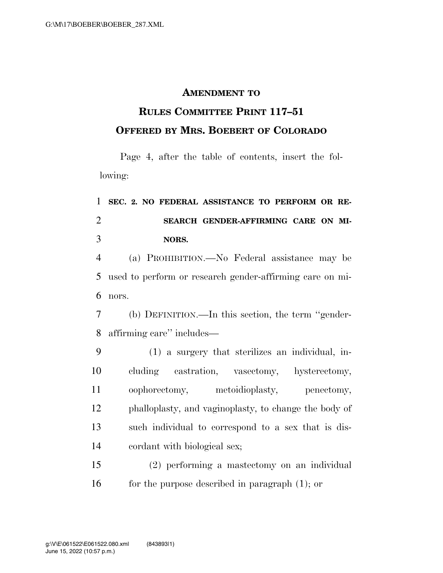## **AMENDMENT TO**

## **RULES COMMITTEE PRINT 117–51 OFFERED BY MRS. BOEBERT OF COLORADO**

Page 4, after the table of contents, insert the following:

## **SEC. 2. NO FEDERAL ASSISTANCE TO PERFORM OR RE- SEARCH GENDER-AFFIRMING CARE ON MI-NORS.**

 (a) PROHIBITION.—No Federal assistance may be used to perform or research gender-affirming care on mi-nors.

 (b) DEFINITION.—In this section, the term ''gender-affirming care'' includes—

 (1) a surgery that sterilizes an individual, in- cluding castration, vasectomy, hysterectomy, oophorectomy, metoidioplasty, penectomy, phalloplasty, and vaginoplasty, to change the body of such individual to correspond to a sex that is dis-cordant with biological sex;

 (2) performing a mastectomy on an individual for the purpose described in paragraph (1); or